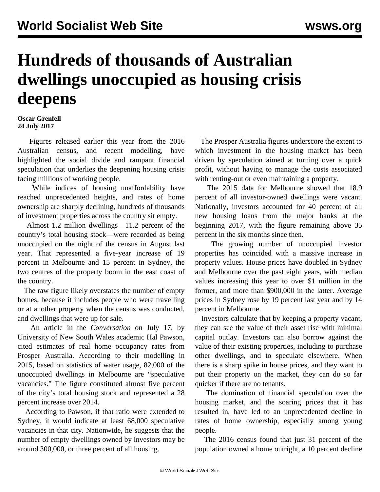## **Hundreds of thousands of Australian dwellings unoccupied as housing crisis deepens**

## **Oscar Grenfell 24 July 2017**

 Figures released earlier this year from the 2016 Australian census, and recent modelling, have highlighted the social divide and rampant financial speculation that underlies the deepening housing crisis facing millions of working people.

 While indices of housing unaffordability have reached unprecedented heights, and rates of home ownership are sharply declining, hundreds of thousands of investment properties across the country sit empty.

 Almost 1.2 million dwellings—11.2 percent of the country's total housing stock—were recorded as being unoccupied on the night of the census in August last year. That represented a five-year increase of 19 percent in Melbourne and 15 percent in Sydney, the two centres of the property boom in the east coast of the country.

 The raw figure likely overstates the number of empty homes, because it includes people who were travelling or at another property when the census was conducted, and dwellings that were up for sale.

 An article in the *Conversation* on July 17, by University of New South Wales academic Hal Pawson, cited estimates of real home occupancy rates from Prosper Australia. According to their modelling in 2015, based on statistics of water usage, 82,000 of the unoccupied dwellings in Melbourne are "speculative vacancies." The figure constituted almost five percent of the city's total housing stock and represented a 28 percent increase over 2014.

 According to Pawson, if that ratio were extended to Sydney, it would indicate at least 68,000 speculative vacancies in that city. Nationwide, he suggests that the number of empty dwellings owned by investors may be around 300,000, or three percent of all housing.

 The Prosper Australia figures underscore the extent to which investment in the housing market has been driven by speculation aimed at turning over a quick profit, without having to manage the costs associated with renting-out or even maintaining a property.

 The 2015 data for Melbourne showed that 18.9 percent of all investor-owned dwellings were vacant. Nationally, investors accounted for 40 percent of all new housing loans from the major banks at the beginning 2017, with the figure remaining above 35 percent in the six months since then.

 The growing number of unoccupied investor properties has coincided with a massive increase in property values. House prices have doubled in Sydney and Melbourne over the past eight years, with median values increasing this year to over \$1 million in the former, and more than \$900,000 in the latter. Average prices in Sydney rose by 19 percent last year and by 14 percent in Melbourne.

 Investors calculate that by keeping a property vacant, they can see the value of their asset rise with minimal capital outlay. Investors can also borrow against the value of their existing properties, including to purchase other dwellings, and to speculate elsewhere. When there is a sharp spike in house prices, and they want to put their property on the market, they can do so far quicker if there are no tenants.

 The domination of financial speculation over the housing market, and the soaring prices that it has resulted in, have led to an unprecedented decline in rates of home ownership, especially among young people.

 The 2016 census found that just 31 percent of the population owned a home outright, a 10 percent decline